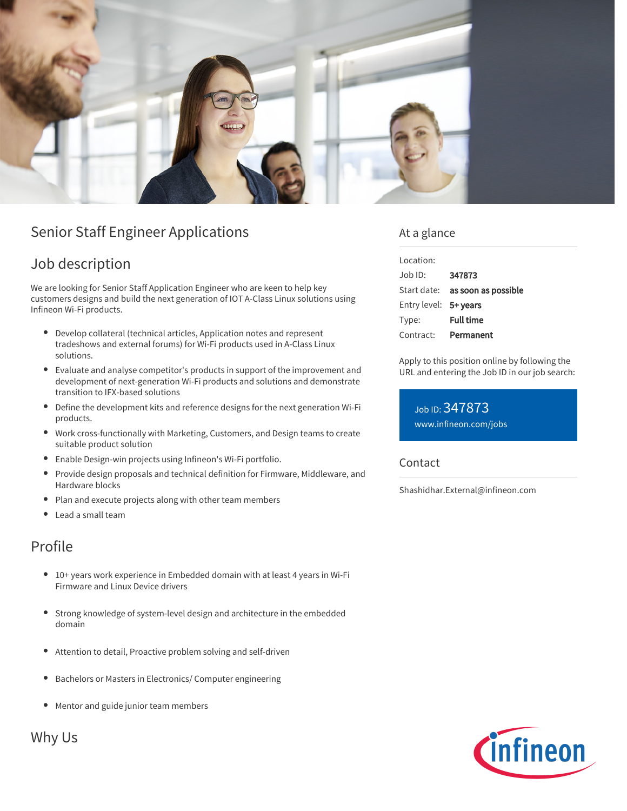

# Senior Staff Engineer Applications

## Job description

We are looking for Senior Staff Application Engineer who are keen to help key customers designs and build the next generation of IOT A-Class Linux solutions using Infineon Wi-Fi products.

- $\bullet$ Develop collateral (technical articles, Application notes and represent tradeshows and external forums) for Wi-Fi products used in A-Class Linux solutions.
- Evaluate and analyse competitor's products in support of the improvement and development of next-generation Wi-Fi products and solutions and demonstrate transition to IFX-based solutions
- Define the development kits and reference designs for the next generation Wi-Fi products.
- Work cross-functionally with Marketing, Customers, and Design teams to create suitable product solution
- Enable Design-win projects using Infineon's Wi-Fi portfolio.
- Provide design proposals and technical definition for Firmware, Middleware, and  $\bullet$ Hardware blocks
- Plan and execute projects along with other team members  $\bullet$
- Lead a small team

## Profile

- 10+ years work experience in Embedded domain with at least 4 years in Wi-Fi Firmware and Linux Device drivers
- Strong knowledge of system-level design and architecture in the embedded  $\bullet$ domain
- $\bullet$ Attention to detail, Proactive problem solving and self-driven
- Bachelors or Masters in Electronics/ Computer engineering  $\bullet$
- Mentor and guide junior team members

Why Us

### At a glance

| Location:             |                                        |
|-----------------------|----------------------------------------|
| Job ID:               | 347873                                 |
|                       | Start date: <b>as soon as possible</b> |
| Entry level: 5+ years |                                        |
| Type:                 | <b>Full time</b>                       |
| Contract:             | Permanent                              |
|                       |                                        |

Apply to this position online by following the URL and entering the Job ID in our job search:

Job ID: 347873 [www.infineon.com/jobs](https://www.infineon.com/jobs)

Contact

Shashidhar.External@infineon.com